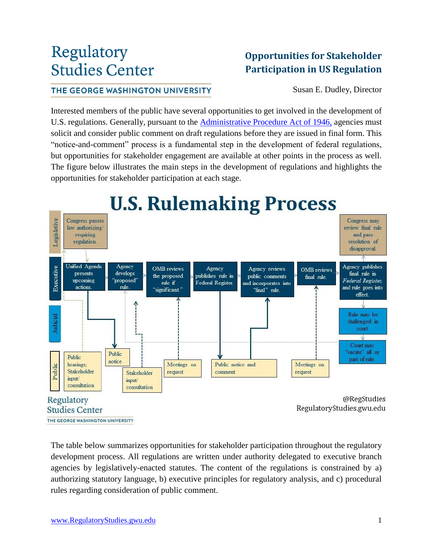## Regulatory **Studies Center**

## THE GEORGE WASHINGTON UNIVERSITY

**Opportunities for Stakeholder Participation in US Regulation**

Susan E. Dudley, Director

Interested members of the public have several opportunities to get involved in the development of U.S. regulations. Generally, pursuant to the [Administrative Procedure Act of 1946,](http://www.archives.gov/federal-register/laws/administrative-procedure/) agencies must solicit and consider public comment on draft regulations before they are issued in final form. This "notice-and-comment" process is a fundamental step in the development of federal regulations, but opportunities for stakeholder engagement are available at other points in the process as well. The figure below illustrates the main steps in the development of regulations and highlights the opportunities for stakeholder participation at each stage.



## **U.S. Rulemaking Process**

The table below summarizes opportunities for stakeholder participation throughout the regulatory development process. All regulations are written under authority delegated to executive branch agencies by legislatively-enacted statutes. The content of the regulations is constrained by a) authorizing statutory language, b) executive principles for regulatory analysis, and c) procedural rules regarding consideration of public comment.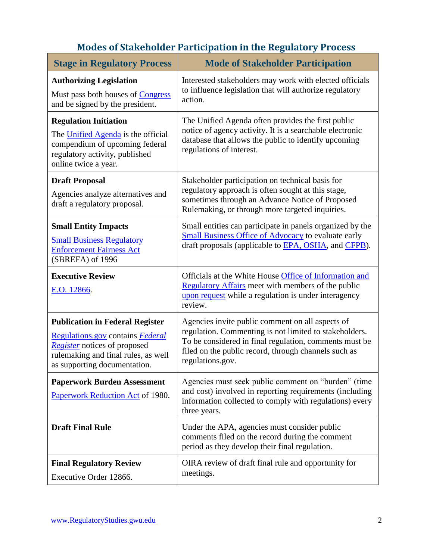| <b>Stage in Regulatory Process</b>                                                                                                                                                       | <b>Mode of Stakeholder Participation</b>                                                                                                                                                                                                         |
|------------------------------------------------------------------------------------------------------------------------------------------------------------------------------------------|--------------------------------------------------------------------------------------------------------------------------------------------------------------------------------------------------------------------------------------------------|
| <b>Authorizing Legislation</b><br>Must pass both houses of <b>Congress</b><br>and be signed by the president.                                                                            | Interested stakeholders may work with elected officials<br>to influence legislation that will authorize regulatory<br>action.                                                                                                                    |
| <b>Regulation Initiation</b><br>The Unified Agenda is the official<br>compendium of upcoming federal<br>regulatory activity, published<br>online twice a year.                           | The Unified Agenda often provides the first public<br>notice of agency activity. It is a searchable electronic<br>database that allows the public to identify upcoming<br>regulations of interest.                                               |
| <b>Draft Proposal</b><br>Agencies analyze alternatives and<br>draft a regulatory proposal.                                                                                               | Stakeholder participation on technical basis for<br>regulatory approach is often sought at this stage,<br>sometimes through an Advance Notice of Proposed<br>Rulemaking, or through more targeted inquiries.                                     |
| <b>Small Entity Impacts</b><br><b>Small Business Regulatory</b><br><b>Enforcement Fairness Act</b><br>(SBREFA) of 1996                                                                   | Small entities can participate in panels organized by the<br>Small Business Office of Advocacy to evaluate early<br>draft proposals (applicable to EPA, OSHA, and CFPB).                                                                         |
| <b>Executive Review</b><br>E.O. 12866.                                                                                                                                                   | Officials at the White House Office of Information and<br>Regulatory Affairs meet with members of the public<br>upon request while a regulation is under interagency<br>review.                                                                  |
| <b>Publication in Federal Register</b><br>Regulations.gov contains Federal<br><b>Register</b> notices of proposed<br>rulemaking and final rules, as well<br>as supporting documentation. | Agencies invite public comment on all aspects of<br>regulation. Commenting is not limited to stakeholders.<br>To be considered in final regulation, comments must be<br>filed on the public record, through channels such as<br>regulations.gov. |
| <b>Paperwork Burden Assessment</b><br>Paperwork Reduction Act of 1980.                                                                                                                   | Agencies must seek public comment on "burden" (time<br>and cost) involved in reporting requirements (including<br>information collected to comply with regulations) every<br>three years.                                                        |
| <b>Draft Final Rule</b>                                                                                                                                                                  | Under the APA, agencies must consider public<br>comments filed on the record during the comment<br>period as they develop their final regulation.                                                                                                |
| <b>Final Regulatory Review</b><br>Executive Order 12866.                                                                                                                                 | OIRA review of draft final rule and opportunity for<br>meetings.                                                                                                                                                                                 |

## **Modes of Stakeholder Participation in the Regulatory Process**